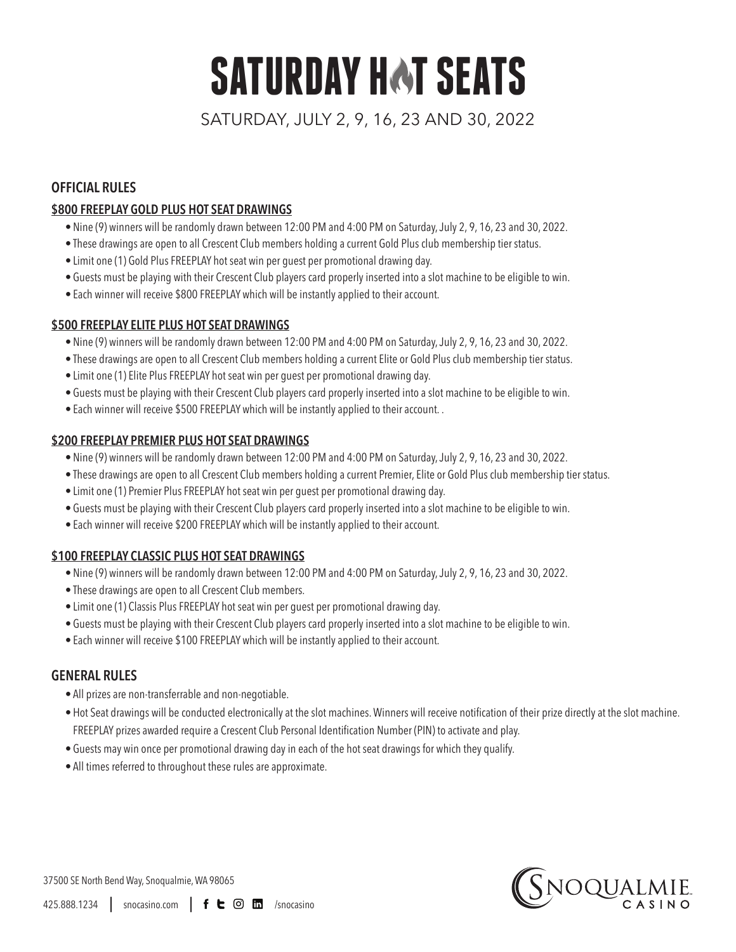# **SATURDAY HAT SEATS**

SATURDAY, JULY 2, 9, 16, 23 AND 30, 2022

# **OFFICIAL RULES**

## **\$800 FREEPLAY GOLD PLUS HOT SEAT DRAWINGS**

- Nine (9) winners will be randomly drawn between 12:00 PM and 4:00 PM on Saturday, July 2, 9, 16, 23 and 30, 2022.
- These drawings are open to all Crescent Club members holding a current Gold Plus club membership tier status.
- Limit one (1) Gold Plus FREEPLAY hot seat win per guest per promotional drawing day.
- Guests must be playing with their Crescent Club players card properly inserted into a slot machine to be eligible to win.
- Each winner will receive \$800 FREEPLAY which will be instantly applied to their account.

#### **\$500 FREEPLAY ELITE PLUS HOT SEAT DRAWINGS**

- Nine (9) winners will be randomly drawn between 12:00 PM and 4:00 PM on Saturday, July 2, 9, 16, 23 and 30, 2022.
- These drawings are open to all Crescent Club members holding a current Elite or Gold Plus club membership tier status.
- Limit one (1) Elite Plus FREEPLAY hot seat win per guest per promotional drawing day.
- Guests must be playing with their Crescent Club players card properly inserted into a slot machine to be eligible to win.
- Each winner will receive \$500 FREEPLAY which will be instantly applied to their account. .

## **\$200 FREEPLAY PREMIER PLUS HOT SEAT DRAWINGS**

- Nine (9) winners will be randomly drawn between 12:00 PM and 4:00 PM on Saturday, July 2, 9, 16, 23 and 30, 2022.
- These drawings are open to all Crescent Club members holding a current Premier, Elite or Gold Plus club membership tier status.
- Limit one (1) Premier Plus FREEPLAY hot seat win per guest per promotional drawing day.
- Guests must be playing with their Crescent Club players card properly inserted into a slot machine to be eligible to win.
- Each winner will receive \$200 FREEPLAY which will be instantly applied to their account.

#### **\$100 FREEPLAY CLASSIC PLUS HOT SEAT DRAWINGS**

- Nine (9) winners will be randomly drawn between 12:00 PM and 4:00 PM on Saturday, July 2, 9, 16, 23 and 30, 2022.
- These drawings are open to all Crescent Club members.
- Limit one (1) Classis Plus FREEPLAY hot seat win per guest per promotional drawing day.
- Guests must be playing with their Crescent Club players card properly inserted into a slot machine to be eligible to win.
- Each winner will receive \$100 FREEPLAY which will be instantly applied to their account.

# **GENERAL RULES**

- All prizes are non-transferrable and non-negotiable.
- • Hot Seat drawings will be conducted electronically at the slot machines.Winners will receive notification of their prize directly at the slot machine. FREEPLAY prizes awarded require a Crescent Club Personal Identification Number (PIN) to activate and play.
- Guests may win once per promotional drawing day in each of the hot seat drawings for which they qualify.
- All times referred to throughout these rules are approximate.



37500 SE North Bend Way, Snoqualmie, WA 98065